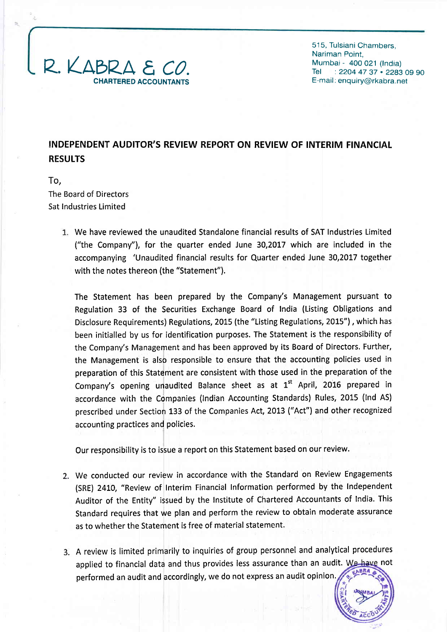

515, Tulsiani Chambers, Nariman Point, Mumbai - 4OO O21 (lndia) Tel : 2204 47 37 . 2283 09 90 E-mail: enquiry@rkabra.net

# INDEPENDENT AUDITOR'S REVIEW REPORT ON REVIEW OF INTERIM FINANCIAL **RESULTS**

To, The Board of Directors Sat Industries Limited

> We have reviewed the unaudited Standalone financial results of SAT Industries Limited ("the Company"), for the quarter ended June 30,2017 which are included in the accompanying 'Unaudited financial results for Quarter ended June 30,2017 together with the notes thereon (the "Statement").

The Statement has been prepared by the Company's Management pursuant to Regulation 33 of the Securities Exchange Board of tndia (Listing Obligations and Disclosure Requirements) Regulations, 2015 (the "Listing Regulations, 2015"), which has been initialled by us for identification purposes. The Statement is the responsibility of the Company's Management and has been approved by its Board of Directors. Further, the Management is also responsible to ensure that the accounting policies used in preparation of this Statement are consistent with those used in the preparation of the Company's opening unaudited Balance sheet as at  $1<sup>st</sup>$  April, 2016 prepared in accordance with the Companies (lndian Accounting Standards) Rules, 2015 (lnd AS) prescribed under Section 133 of the Companies Act, 2013 ("Act") and other recognized accounting practices and policies.

Our responsibility is to issue a report on this Statement based on our review.

- We conducted our review in accordance with the Standard on Review Engagements (SRE) 2410, "Review of Interim Financial Information performed by the lndependent Auditor of the Entity" issued by the Institute of Chartered Accountants of lndia. This Standard requires that we plan and perform the review to obtain moderate assurance as to whether the Statement is free of material statement.
- A review is limited primarily to inquiries of group personnel and analytical procedures applied to financial data and thus provides less assurance than an audit. We have not performed an audit and accordingly, we do not express an audit opinion.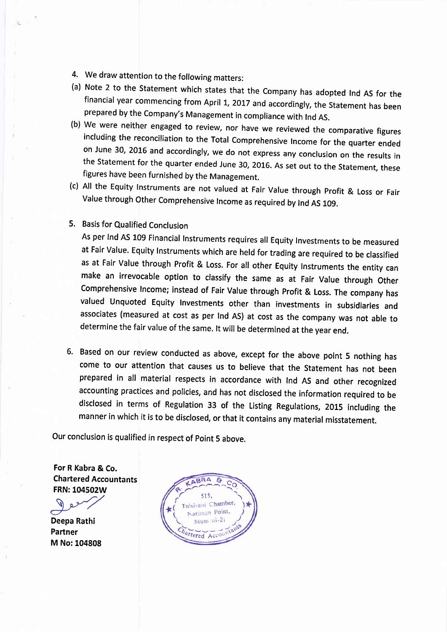- 
- 4. We draw attention to the following matters:<br>(a) Note 2 to the Statement which states that the Company has adopted Ind AS for the
- financial year commencing from April 1, 2017 and accordingly, the Statement has been<br>prepared by the Company's Management in compliance with Ind AS.<br>(b) We were neither engaged to review, nor have we reviewed the comparati the Statement for the quarter ended June 30, 2016. As set out to the Statement, these figures have been furnished by the Management.
- (c) All the Equity lnstruments are not valued at Fair Value through profit & Loss or Fair Value through Other Comprehensive Income as required by Ind AS 109.
- 5. Basis for Qualified Conclusion

As per Ind AS 109 Financial lnstruments requires all Equity Investments to be measured at Fair Value. Equity Instruments which are held for trading are required to be classified as at Fair Value through Profit & Loss. For all other Equity Instruments the entity can make an irrevocable option to classify the same as at Fair Value through other Comprehensive lncome; instead of Fair Value through profit & Loss. The company has valued Unquoted Equity Investments other than investments in subsidiaries and associates (measured at cost as per lnd AS) at cost as the company was not able to determine the fair value of the same. lt will be determined at the year end.

6. Based on our review conducted as above, except for the above point 5 nothing has come to our attention that causes us to believe that the Statement has not been prepared in all material respects in accordance with Ind AS and other recognized accounting practices and policies, and has not disclosed the information required to be disclosed in terms of Regulation 33 of the Listing Regulations, 2015 including the manner in which it is to be disclosed, or that it contains any material misstatement.

Our conclusion is qualified in respect of point 5 above.

For R Kabra & Co. Chartered Accountants FRN: 104502W

- Deepa Rathi Partner M No:104808

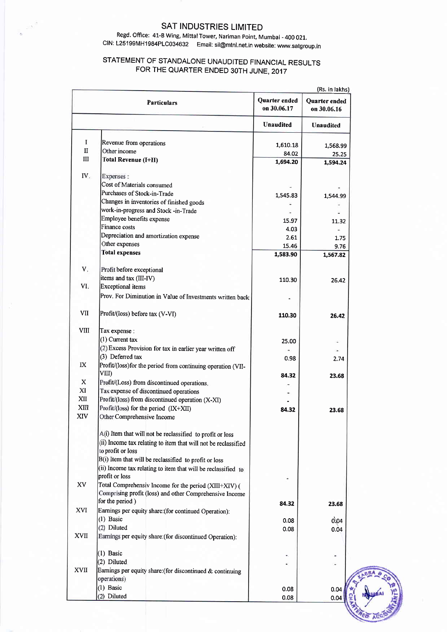#### SAT INDUSTRIES LIMITED

 $\hat{\mathcal{N}}$ 

#### Regd. Office: 41-B Wing, Mittal Tower, Nariman Point, Mumbai - 400 021. CIN: L25199MH1984PLC034632 Email: sil@mtnl.net.in website: www.satgroup.in

## STATEMENT OF STANDALONE UNAUDITED FINANCIAL RESULTS FOR THE QUARTER ENDED 30TH JUNE, 2017

|             | (Rs. in lakhs)                                                 |                              |                              |
|-------------|----------------------------------------------------------------|------------------------------|------------------------------|
|             | <b>Particulars</b>                                             | Quarter ended<br>on 30.06.17 | Quarter ended<br>on 30.06.16 |
|             |                                                                | <b>Unaudited</b>             | <b>Unaudited</b>             |
| I           | Revenue from operations                                        |                              |                              |
| $\rm II$    | Other income                                                   | 1,610.18<br>84.02            | 1,568.99                     |
| $\rm III$   | Total Revenue (I+II)                                           | 1,694.20                     | 25.25<br>1,594.24            |
|             |                                                                |                              |                              |
| IV.         | Expenses:                                                      |                              |                              |
|             | Cost of Materials consumed                                     |                              |                              |
|             | Purchases of Stock-in-Trade                                    | 1,545.83                     | 1,544.99                     |
|             | Changes in inventories of finished goods                       |                              |                              |
|             | work-in-progress and Stock -in-Trade                           |                              |                              |
|             | Employee benefits expense                                      | 15.97                        | 11.32                        |
|             | Finance costs                                                  | 4.03                         |                              |
|             | Depreciation and amortization expense                          | 2.61                         | 1.75                         |
|             | Other expenses                                                 | 15.46                        | 9.76                         |
|             | <b>Total expenses</b>                                          | 1,583.90                     | 1,567.82                     |
|             |                                                                |                              |                              |
| V.          | Profit before exceptional                                      |                              |                              |
|             | items and tax (III-IV)                                         | 110.30                       |                              |
| VI.         | <b>Exceptional</b> items                                       |                              | 26.42                        |
|             | Prov. For Diminution in Value of Investments written back      |                              |                              |
|             |                                                                |                              |                              |
| VII         | Profit/(loss) before tax (V-VI)                                | 110.30                       | 26.42                        |
| <b>VIII</b> | Tax expense :                                                  |                              |                              |
|             | $(1)$ Current tax                                              | 25.00                        |                              |
|             | (2) Excess Provision for tax in earlier year written off       |                              |                              |
|             | (3) Deferred tax                                               | 0.98                         | 2.74                         |
| IX          | Profit/(loss)for the period from continuing operation (VII-    |                              |                              |
|             | VIII)                                                          | 84.32                        | 23.68                        |
| $\mathbf X$ | Profit/(Loss) from discontinued operations.                    |                              |                              |
| XI          | Tax expense of discontinued operations                         |                              |                              |
| XII         | Profit/(loss) from discontinued operation (X-XI)               |                              |                              |
| XIII        | Profit/(loss) for the period (IX+XII)                          | 84.32                        | 23.68                        |
| XIV         | Other Comprehensive Income                                     |                              |                              |
|             | A(i) Item that will not be reclassified to profit or loss      |                              |                              |
|             | (ii) Income tax relating to item that will not be reclassified |                              |                              |
|             | to profit or loss                                              |                              |                              |
|             | B(i) Item that will be reclassified to profit or loss          |                              |                              |
|             | (ii) Income tax relating to item that will be reclassified to  |                              |                              |
|             | profit or loss                                                 |                              |                              |
| XV          | Total Comprehensiv Income for the period (XIII+XIV) (          |                              |                              |
|             | Comprising profit (loss) and other Comprehensive Income        |                              |                              |
|             | for the period)                                                |                              |                              |
| XVI         | Earnings per equity share: (for continued Operation):          | 84.32                        | 23.68                        |
|             | $(1)$ Basic                                                    |                              |                              |
|             | (2) Diluted                                                    | 0.08                         | 0.04                         |
| XVII        | Earnings per equity share: (for discontinued Operation):       | 0.08                         | 0.04                         |
|             |                                                                |                              |                              |
|             | $(1)$ Basic                                                    |                              |                              |
|             | (2) Diluted                                                    |                              |                              |
| <b>XVII</b> | Earnings per equity share: (for discontinued $\&$ continuing   |                              |                              |
|             | operations)                                                    |                              |                              |
|             | $(1)$ Basic                                                    | 0.08                         | 0.04                         |
|             | (2) Diluted                                                    | 0.08                         | 0.04                         |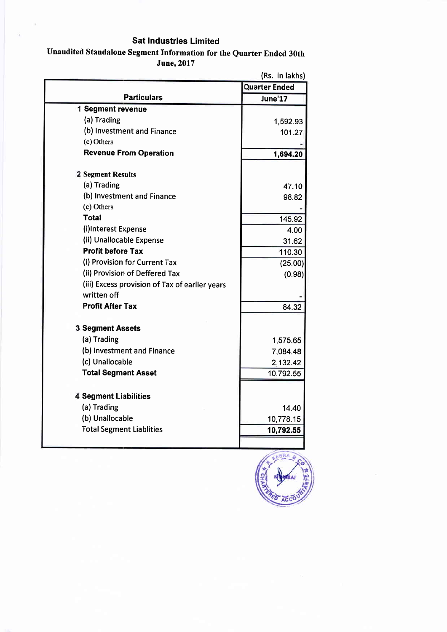## Sat Industries Limited

## Unaudited Standalone Segment Information for the Quarter Ended 30th June,2017

|                                                | <b>Quarter Ended</b> |
|------------------------------------------------|----------------------|
| <b>Particulars</b>                             | June'17              |
| 1 Segment revenue                              |                      |
| (a) Trading                                    | 1,592.93             |
| (b) Investment and Finance                     | 101.27               |
| (c) Others                                     |                      |
| <b>Revenue From Operation</b>                  | 1,694.20             |
| <b>2 Segment Results</b>                       |                      |
| (a) Trading                                    | 47.10                |
| (b) Investment and Finance                     | 98.82                |
| (c) Others                                     |                      |
| <b>Total</b>                                   | 145.92               |
| (i)Interest Expense                            | 4.00                 |
| (ii) Unallocable Expense                       | 31.62                |
| <b>Profit before Tax</b>                       | 110.30               |
| (i) Provision for Current Tax                  | (25.00)              |
| (ii) Provision of Deffered Tax                 | (0.98)               |
| (iii) Excess provision of Tax of earlier years |                      |
| written off                                    |                      |
| <b>Profit After Tax</b>                        | 84.32                |
| <b>3 Segment Assets</b>                        |                      |
| (a) Trading                                    | 1,575.65             |
| (b) Investment and Finance                     | 7,084.48             |
| (c) Unallocable                                | 2,132.42             |
| <b>Total Segment Asset</b>                     | 10,792.55            |
| <b>4 Segment Liabilities</b>                   |                      |
| (a) Trading                                    | 14.40                |
| (b) Unallocable                                | 10,778.15            |
| <b>Total Segment Liablities</b>                | 10,792.55            |